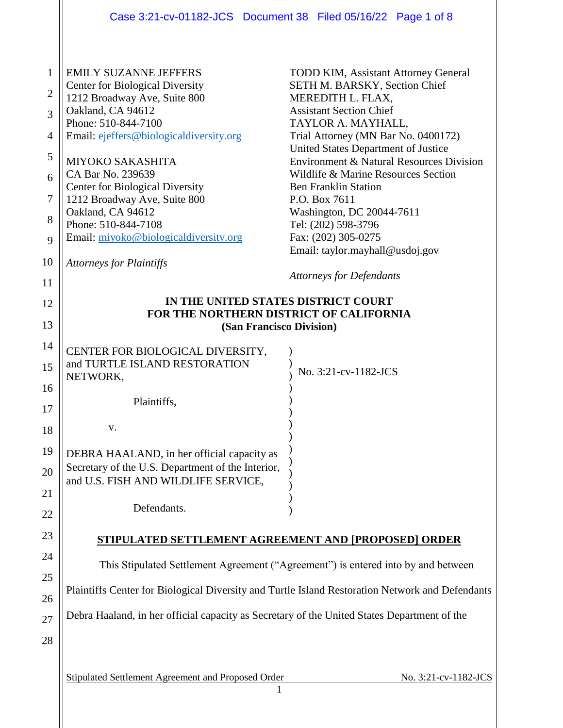|                                                                               | Case 3:21-cv-01182-JCS  Document 38  Filed 05/16/22  Page 1 of 8                                                                                                                                                                                                                                                                                                                                                                                |                                                                                                                                                                                                                                                                                                                                                                                                                                                                                                                                        |  |
|-------------------------------------------------------------------------------|-------------------------------------------------------------------------------------------------------------------------------------------------------------------------------------------------------------------------------------------------------------------------------------------------------------------------------------------------------------------------------------------------------------------------------------------------|----------------------------------------------------------------------------------------------------------------------------------------------------------------------------------------------------------------------------------------------------------------------------------------------------------------------------------------------------------------------------------------------------------------------------------------------------------------------------------------------------------------------------------------|--|
| $\mathbf{1}$<br>$\overline{2}$<br>3<br>4<br>5<br>6<br>7<br>8<br>9<br>10<br>11 | <b>EMILY SUZANNE JEFFERS</b><br><b>Center for Biological Diversity</b><br>1212 Broadway Ave, Suite 800<br>Oakland, CA 94612<br>Phone: 510-844-7100<br>Email: ejeffers@biologicaldiversity.org<br><b>MIYOKO SAKASHITA</b><br>CA Bar No. 239639<br><b>Center for Biological Diversity</b><br>1212 Broadway Ave, Suite 800<br>Oakland, CA 94612<br>Phone: 510-844-7108<br>Email: miyoko@biologicaldiversity.org<br><b>Attorneys for Plaintiffs</b> | <b>TODD KIM, Assistant Attorney General</b><br>SETH M. BARSKY, Section Chief<br>MEREDITH L. FLAX,<br><b>Assistant Section Chief</b><br>TAYLOR A. MAYHALL,<br>Trial Attorney (MN Bar No. 0400172)<br>United States Department of Justice<br><b>Environment &amp; Natural Resources Division</b><br>Wildlife & Marine Resources Section<br><b>Ben Franklin Station</b><br>P.O. Box 7611<br>Washington, DC 20044-7611<br>Tel: (202) 598-3796<br>Fax: (202) 305-0275<br>Email: taylor.mayhall@usdoj.gov<br><b>Attorneys for Defendants</b> |  |
| 12                                                                            | IN THE UNITED STATES DISTRICT COURT                                                                                                                                                                                                                                                                                                                                                                                                             |                                                                                                                                                                                                                                                                                                                                                                                                                                                                                                                                        |  |
| 13                                                                            | FOR THE NORTHERN DISTRICT OF CALIFORNIA<br>(San Francisco Division)                                                                                                                                                                                                                                                                                                                                                                             |                                                                                                                                                                                                                                                                                                                                                                                                                                                                                                                                        |  |
| 14<br>15<br>16<br>17                                                          | CENTER FOR BIOLOGICAL DIVERSITY,<br>and TURTLE ISLAND RESTORATION<br>NETWORK,<br>Plaintiffs,                                                                                                                                                                                                                                                                                                                                                    | No. 3:21-cv-1182-JCS                                                                                                                                                                                                                                                                                                                                                                                                                                                                                                                   |  |
| 18                                                                            | V.                                                                                                                                                                                                                                                                                                                                                                                                                                              |                                                                                                                                                                                                                                                                                                                                                                                                                                                                                                                                        |  |
| 19<br>20<br>21<br>22                                                          | DEBRA HAALAND, in her official capacity as<br>Secretary of the U.S. Department of the Interior,<br>and U.S. FISH AND WILDLIFE SERVICE,<br>Defendants.                                                                                                                                                                                                                                                                                           |                                                                                                                                                                                                                                                                                                                                                                                                                                                                                                                                        |  |
| 23                                                                            | <b>STIPULATED SETTLEMENT AGREEMENT AND [PROPOSED] ORDER</b>                                                                                                                                                                                                                                                                                                                                                                                     |                                                                                                                                                                                                                                                                                                                                                                                                                                                                                                                                        |  |
| 24                                                                            | This Stipulated Settlement Agreement ("Agreement") is entered into by and between                                                                                                                                                                                                                                                                                                                                                               |                                                                                                                                                                                                                                                                                                                                                                                                                                                                                                                                        |  |
| 25<br>26                                                                      | Plaintiffs Center for Biological Diversity and Turtle Island Restoration Network and Defendants                                                                                                                                                                                                                                                                                                                                                 |                                                                                                                                                                                                                                                                                                                                                                                                                                                                                                                                        |  |
| 27<br>28                                                                      | Debra Haaland, in her official capacity as Secretary of the United States Department of the                                                                                                                                                                                                                                                                                                                                                     |                                                                                                                                                                                                                                                                                                                                                                                                                                                                                                                                        |  |
|                                                                               | Stipulated Settlement Agreement and Proposed Order<br>1                                                                                                                                                                                                                                                                                                                                                                                         | No. 3:21-cv-1182-JCS                                                                                                                                                                                                                                                                                                                                                                                                                                                                                                                   |  |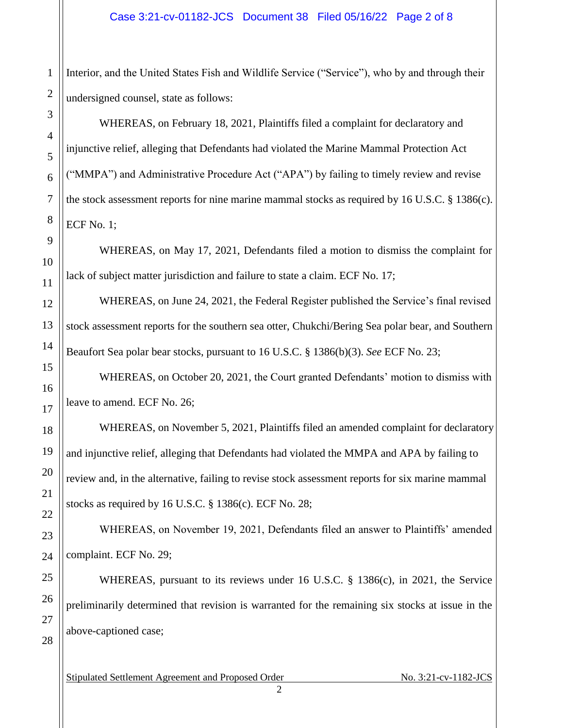Interior, and the United States Fish and Wildlife Service ("Service"), who by and through their undersigned counsel, state as follows:

WHEREAS, on February 18, 2021, Plaintiffs filed a complaint for declaratory and injunctive relief, alleging that Defendants had violated the Marine Mammal Protection Act ("MMPA") and Administrative Procedure Act ("APA") by failing to timely review and revise the stock assessment reports for nine marine mammal stocks as required by 16 U.S.C. § 1386(c). ECF No. 1;

WHEREAS, on May 17, 2021, Defendants filed a motion to dismiss the complaint for lack of subject matter jurisdiction and failure to state a claim. ECF No. 17;

WHEREAS, on June 24, 2021, the Federal Register published the Service's final revised stock assessment reports for the southern sea otter, Chukchi/Bering Sea polar bear, and Southern Beaufort Sea polar bear stocks, pursuant to 16 U.S.C. § 1386(b)(3). *See* ECF No. 23;

WHEREAS, on October 20, 2021, the Court granted Defendants' motion to dismiss with leave to amend. ECF No. 26;

WHEREAS, on November 5, 2021, Plaintiffs filed an amended complaint for declaratory and injunctive relief, alleging that Defendants had violated the MMPA and APA by failing to review and, in the alternative, failing to revise stock assessment reports for six marine mammal stocks as required by 16 U.S.C.  $\S$  1386(c). ECF No. 28;

WHEREAS, on November 19, 2021, Defendants filed an answer to Plaintiffs' amended complaint. ECF No. 29;

WHEREAS, pursuant to its reviews under 16 U.S.C. § 1386(c), in 2021, the Service preliminarily determined that revision is warranted for the remaining six stocks at issue in the above-captioned case;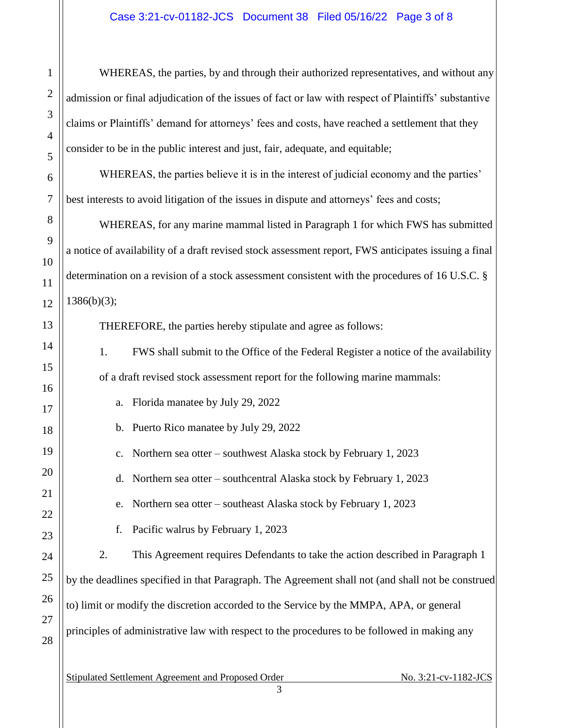WHEREAS, the parties, by and through their authorized representatives, and without any admission or final adjudication of the issues of fact or law with respect of Plaintiffs' substantive claims or Plaintiffs' demand for attorneys' fees and costs, have reached a settlement that they consider to be in the public interest and just, fair, adequate, and equitable;

WHEREAS, the parties believe it is in the interest of judicial economy and the parties' best interests to avoid litigation of the issues in dispute and attorneys' fees and costs;

WHEREAS, for any marine mammal listed in Paragraph 1 for which FWS has submitted a notice of availability of a draft revised stock assessment report, FWS anticipates issuing a final determination on a revision of a stock assessment consistent with the procedures of 16 U.S.C. §  $1386(b)(3);$ 

THEREFORE, the parties hereby stipulate and agree as follows:

1. FWS shall submit to the Office of the Federal Register a notice of the availability of a draft revised stock assessment report for the following marine mammals:

a. Florida manatee by July 29, 2022

1

2

3

4

5

6

7

8

9

10

11

12

13

14

15

16

17

18

19

20

21

22

23

24

25

26

27

28

b. Puerto Rico manatee by July 29, 2022

c. Northern sea otter – southwest Alaska stock by February 1, 2023

d. Northern sea otter – southcentral Alaska stock by February 1, 2023

e. Northern sea otter – southeast Alaska stock by February 1, 2023

f. Pacific walrus by February 1, 2023

2. This Agreement requires Defendants to take the action described in Paragraph 1 by the deadlines specified in that Paragraph. The Agreement shall not (and shall not be construed to) limit or modify the discretion accorded to the Service by the MMPA, APA, or general principles of administrative law with respect to the procedures to be followed in making any

Stipulated Settlement Agreement and Proposed Order No. 3:21-cv-1182-JCS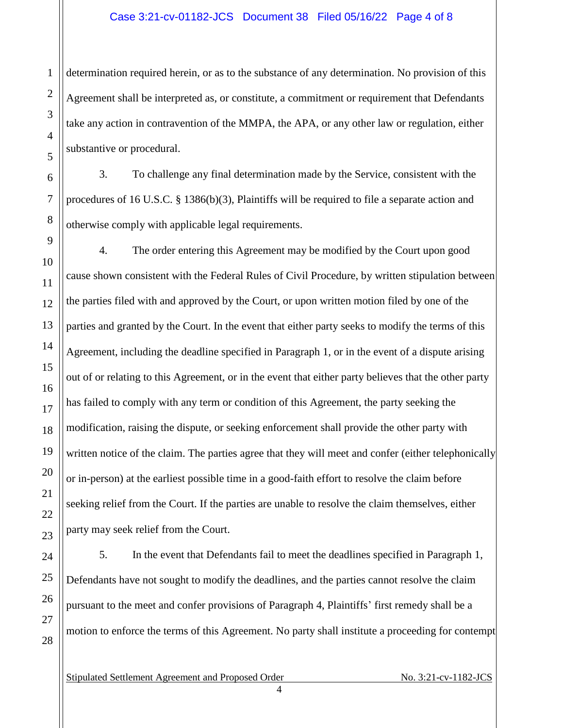## Case 3:21-cv-01182-JCS Document 38 Filed 05/16/22 Page 4 of 8

determination required herein, or as to the substance of any determination. No provision of this Agreement shall be interpreted as, or constitute, a commitment or requirement that Defendants take any action in contravention of the MMPA, the APA, or any other law or regulation, either substantive or procedural.

3. To challenge any final determination made by the Service, consistent with the procedures of 16 U.S.C. § 1386(b)(3), Plaintiffs will be required to file a separate action and otherwise comply with applicable legal requirements.

4. The order entering this Agreement may be modified by the Court upon good cause shown consistent with the Federal Rules of Civil Procedure, by written stipulation between the parties filed with and approved by the Court, or upon written motion filed by one of the parties and granted by the Court. In the event that either party seeks to modify the terms of this Agreement, including the deadline specified in Paragraph 1, or in the event of a dispute arising out of or relating to this Agreement, or in the event that either party believes that the other party has failed to comply with any term or condition of this Agreement, the party seeking the modification, raising the dispute, or seeking enforcement shall provide the other party with written notice of the claim. The parties agree that they will meet and confer (either telephonically or in-person) at the earliest possible time in a good-faith effort to resolve the claim before seeking relief from the Court. If the parties are unable to resolve the claim themselves, either party may seek relief from the Court.

5. In the event that Defendants fail to meet the deadlines specified in Paragraph 1, Defendants have not sought to modify the deadlines, and the parties cannot resolve the claim pursuant to the meet and confer provisions of Paragraph 4, Plaintiffs' first remedy shall be a motion to enforce the terms of this Agreement. No party shall institute a proceeding for contempt

Stipulated Settlement Agreement and Proposed Order No. 3:21-cv-1182-JCS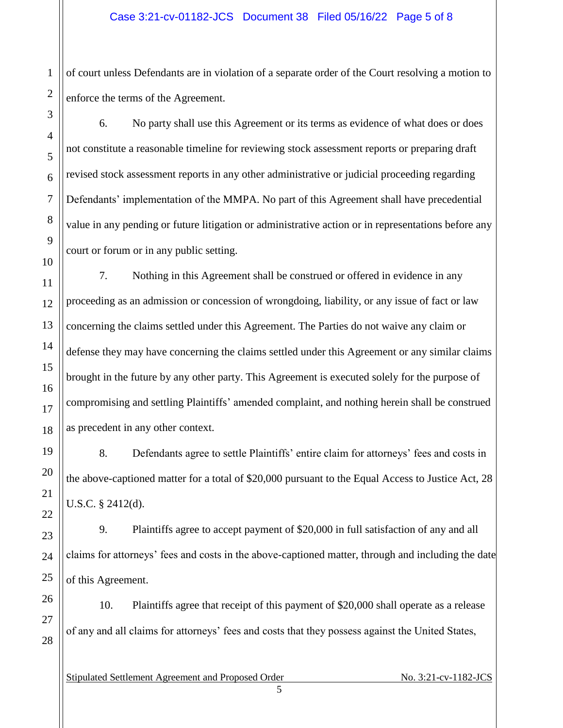of court unless Defendants are in violation of a separate order of the Court resolving a motion to enforce the terms of the Agreement.

6. No party shall use this Agreement or its terms as evidence of what does or does not constitute a reasonable timeline for reviewing stock assessment reports or preparing draft revised stock assessment reports in any other administrative or judicial proceeding regarding Defendants' implementation of the MMPA. No part of this Agreement shall have precedential value in any pending or future litigation or administrative action or in representations before any court or forum or in any public setting.

7. Nothing in this Agreement shall be construed or offered in evidence in any proceeding as an admission or concession of wrongdoing, liability, or any issue of fact or law concerning the claims settled under this Agreement. The Parties do not waive any claim or defense they may have concerning the claims settled under this Agreement or any similar claims brought in the future by any other party. This Agreement is executed solely for the purpose of compromising and settling Plaintiffs' amended complaint, and nothing herein shall be construed as precedent in any other context.

8. Defendants agree to settle Plaintiffs' entire claim for attorneys' fees and costs in the above-captioned matter for a total of \$20,000 pursuant to the Equal Access to Justice Act, 28 U.S.C. § 2412(d).

9. Plaintiffs agree to accept payment of \$20,000 in full satisfaction of any and all claims for attorneys' fees and costs in the above-captioned matter, through and including the date of this Agreement.

10. Plaintiffs agree that receipt of this payment of \$20,000 shall operate as a release of any and all claims for attorneys' fees and costs that they possess against the United States,

5

Stipulated Settlement Agreement and Proposed Order No. 3:21-cv-1182-JCS

1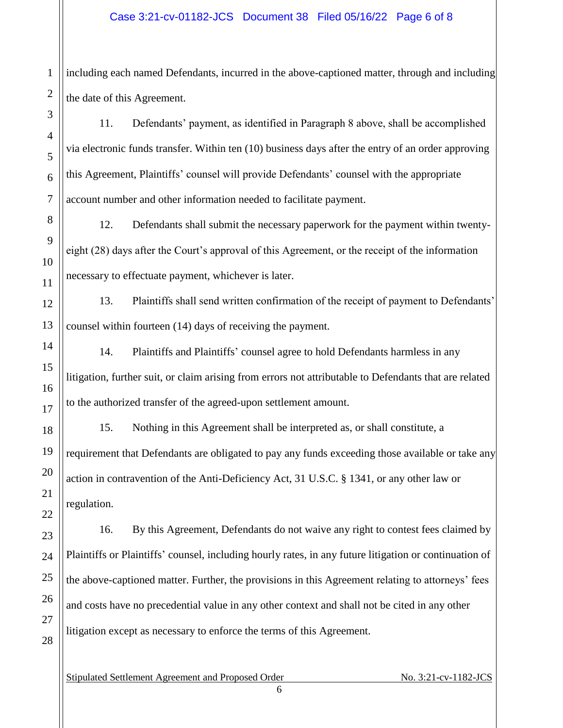## Case 3:21-cv-01182-JCS Document 38 Filed 05/16/22 Page 6 of 8

including each named Defendants, incurred in the above-captioned matter, through and including the date of this Agreement.

11. Defendants' payment, as identified in Paragraph 8 above, shall be accomplished via electronic funds transfer. Within ten (10) business days after the entry of an order approving this Agreement, Plaintiffs' counsel will provide Defendants' counsel with the appropriate account number and other information needed to facilitate payment.

12. Defendants shall submit the necessary paperwork for the payment within twentyeight (28) days after the Court's approval of this Agreement, or the receipt of the information necessary to effectuate payment, whichever is later.

13. Plaintiffs shall send written confirmation of the receipt of payment to Defendants' counsel within fourteen (14) days of receiving the payment.

14. Plaintiffs and Plaintiffs' counsel agree to hold Defendants harmless in any litigation, further suit, or claim arising from errors not attributable to Defendants that are related to the authorized transfer of the agreed-upon settlement amount.

15. Nothing in this Agreement shall be interpreted as, or shall constitute, a requirement that Defendants are obligated to pay any funds exceeding those available or take any action in contravention of the Anti-Deficiency Act, 31 U.S.C. § 1341, or any other law or regulation.

16. By this Agreement, Defendants do not waive any right to contest fees claimed by Plaintiffs or Plaintiffs' counsel, including hourly rates, in any future litigation or continuation of the above-captioned matter. Further, the provisions in this Agreement relating to attorneys' fees and costs have no precedential value in any other context and shall not be cited in any other litigation except as necessary to enforce the terms of this Agreement.

6

Stipulated Settlement Agreement and Proposed Order No. 3:21-cv-1182-JCS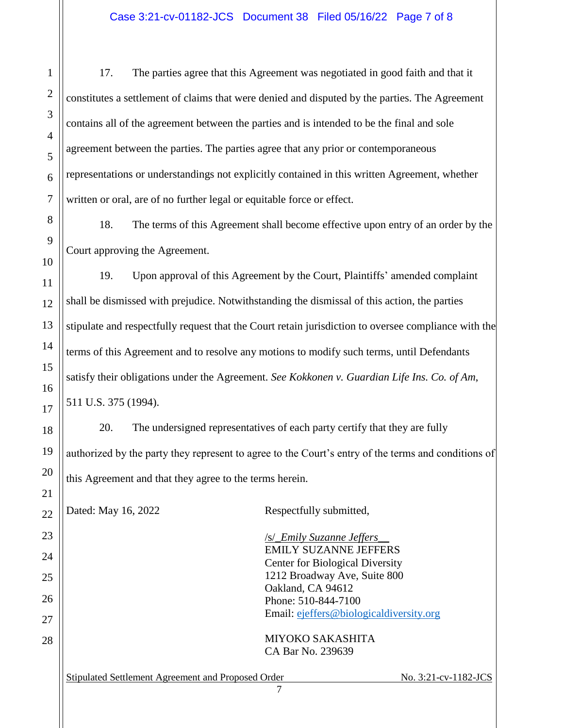17. The parties agree that this Agreement was negotiated in good faith and that it constitutes a settlement of claims that were denied and disputed by the parties. The Agreement contains all of the agreement between the parties and is intended to be the final and sole agreement between the parties. The parties agree that any prior or contemporaneous representations or understandings not explicitly contained in this written Agreement, whether written or oral, are of no further legal or equitable force or effect.

18. The terms of this Agreement shall become effective upon entry of an order by the Court approving the Agreement.

19. Upon approval of this Agreement by the Court, Plaintiffs' amended complaint shall be dismissed with prejudice. Notwithstanding the dismissal of this action, the parties stipulate and respectfully request that the Court retain jurisdiction to oversee compliance with the terms of this Agreement and to resolve any motions to modify such terms, until Defendants satisfy their obligations under the Agreement. *See Kokkonen v. Guardian Life Ins. Co. of Am*, 511 U.S. 375 (1994).

20. The undersigned representatives of each party certify that they are fully authorized by the party they represent to agree to the Court's entry of the terms and conditions of this Agreement and that they agree to the terms herein.

Dated: May 16, 2022 Respectfully submitted, /s/\_*Emily Suzanne Jeffers*\_\_ EMILY SUZANNE JEFFERS Center for Biological Diversity 1212 Broadway Ave, Suite 800 Oakland, CA 94612 Phone: 510-844-7100 Email: ejeffers@biologicaldiversity.org MIYOKO SAKASHITA CA Bar No. 239639